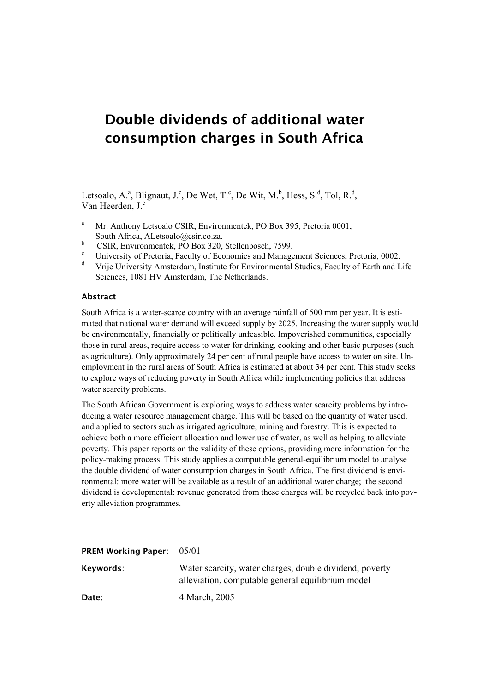# **Double dividends of additional water consumption charges in South Africa**

Letsoalo, A.<sup>a</sup>, Blignaut, J.<sup>c</sup>, De Wet, T.<sup>c</sup>, De Wit, M.<sup>b</sup>, Hess, S.<sup>d</sup>, Tol, R.<sup>d</sup>, Van Heerden, J.<sup>c</sup>

- <sup>a</sup> Mr. Anthony Letsoalo CSIR, Environmentek, PO Box 395, Pretoria 0001, South Africa, ALetsoalo@csir.co.za.
- $\frac{b}{c}$  CSIR, Environmentek, PO Box 320, Stellenbosch, 7599.
- University of Pretoria, Faculty of Economics and Management Sciences, Pretoria, 0002.
- d Vrije University Amsterdam, Institute for Environmental Studies, Faculty of Earth and Life Sciences, 1081 HV Amsterdam, The Netherlands.

#### **Abstract**

South Africa is a water-scarce country with an average rainfall of 500 mm per year. It is estimated that national water demand will exceed supply by 2025. Increasing the water supply would be environmentally, financially or politically unfeasible. Impoverished communities, especially those in rural areas, require access to water for drinking, cooking and other basic purposes (such as agriculture). Only approximately 24 per cent of rural people have access to water on site. Unemployment in the rural areas of South Africa is estimated at about 34 per cent. This study seeks to explore ways of reducing poverty in South Africa while implementing policies that address water scarcity problems.

The South African Government is exploring ways to address water scarcity problems by introducing a water resource management charge. This will be based on the quantity of water used, and applied to sectors such as irrigated agriculture, mining and forestry. This is expected to achieve both a more efficient allocation and lower use of water, as well as helping to alleviate poverty. This paper reports on the validity of these options, providing more information for the policy-making process. This study applies a computable general-equilibrium model to analyse the double dividend of water consumption charges in South Africa. The first dividend is environmental: more water will be available as a result of an additional water charge; the second dividend is developmental: revenue generated from these charges will be recycled back into poverty alleviation programmes.

| <b>PREM Working Paper:</b> $05/01$ |                                                                                                              |
|------------------------------------|--------------------------------------------------------------------------------------------------------------|
| Keywords:                          | Water scarcity, water charges, double dividend, poverty<br>alleviation, computable general equilibrium model |
| Date:                              | 4 March, 2005                                                                                                |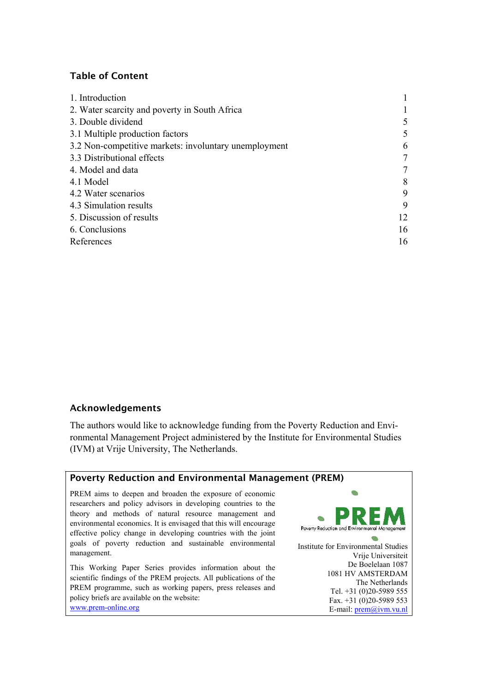# **Table of Content**

| 1. Introduction                                       |                 |
|-------------------------------------------------------|-----------------|
| 2. Water scarcity and poverty in South Africa         |                 |
| 3. Double dividend                                    | 5               |
| 3.1 Multiple production factors                       | 5               |
| 3.2 Non-competitive markets: involuntary unemployment | 6               |
| 3.3 Distributional effects                            | $7\phantom{.0}$ |
| 4. Model and data                                     | $7\phantom{.0}$ |
| 4.1 Model                                             | 8               |
| 4.2 Water scenarios                                   | 9               |
| 4.3 Simulation results                                | 9               |
| 5. Discussion of results                              | 12              |
| 6. Conclusions                                        | 16              |
| References                                            | 16              |

## **Acknowledgements**

The authors would like to acknowledge funding from the Poverty Reduction and Environmental Management Project administered by the Institute for Environmental Studies (IVM) at Vrije University, The Netherlands.

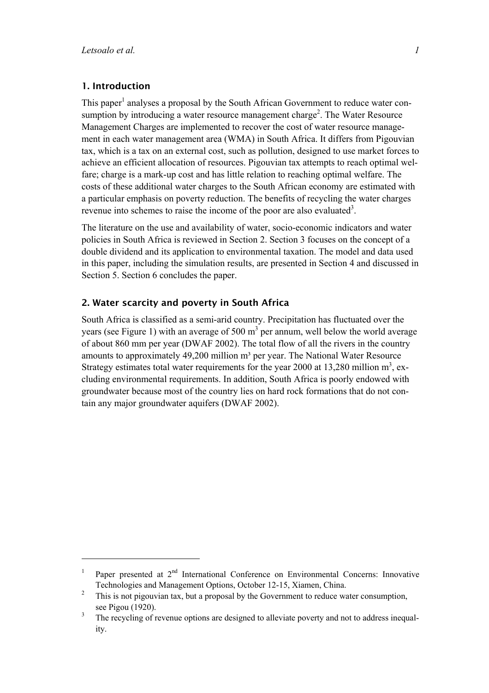$\overline{a}$ 

# <span id="page-2-0"></span>**1. Introduction**

This paper<sup>1</sup> analyses a proposal by the South African Government to reduce water consumption by introducing a water resource management charge<sup>2</sup>. The Water Resource Management Charges are implemented to recover the cost of water resource management in each water management area (WMA) in South Africa. It differs from Pigouvian tax, which is a tax on an external cost, such as pollution, designed to use market forces to achieve an efficient allocation of resources. Pigouvian tax attempts to reach optimal welfare; charge is a mark-up cost and has little relation to reaching optimal welfare. The costs of these additional water charges to the South African economy are estimated with a particular emphasis on poverty reduction. The benefits of recycling the water charges revenue into schemes to raise the income of the poor are also evaluated<sup>[3](#page-2-3)</sup>.

The literature on the use and availability of water, socio-economic indicators and water policies in South Africa is reviewed in Section 2. Section 3 focuses on the concept of a double dividend and its application to environmental taxation. The model and data used in this paper, including the simulation results, are presented in Section 4 and discussed in Section 5. Section 6 concludes the paper.

#### **2. Water scarcity and poverty in South Africa**

South Africa is classified as a semi-arid country. Precipitation has fluctuated over the years (see Figure 1) with an average of 500  $m<sup>3</sup>$  per annum, well below the world average of about 860 mm per year (DWAF 2002). The total flow of all the rivers in the country amounts to approximately  $49,200$  million  $m<sup>3</sup>$  per year. The National Water Resource Strategy estimates total water requirements for the year 2000 at 13,280 million  $m^3$ , excluding environmental requirements. In addition, South Africa is poorly endowed with groundwater because most of the country lies on hard rock formations that do not contain any major groundwater aquifers (DWAF 2002).

<span id="page-2-1"></span><sup>1</sup> Paper presented at 2<sup>nd</sup> International Conference on Environmental Concerns: Innovative Technologies and Management Options, October 12-15, Xiamen, China.

<span id="page-2-2"></span> $\mathfrak{Z}$  This is not pigouvian tax, but a proposal by the Government to reduce water consumption, see Pigou (1920).

<span id="page-2-3"></span><sup>3</sup> The recycling of revenue options are designed to alleviate poverty and not to address inequality.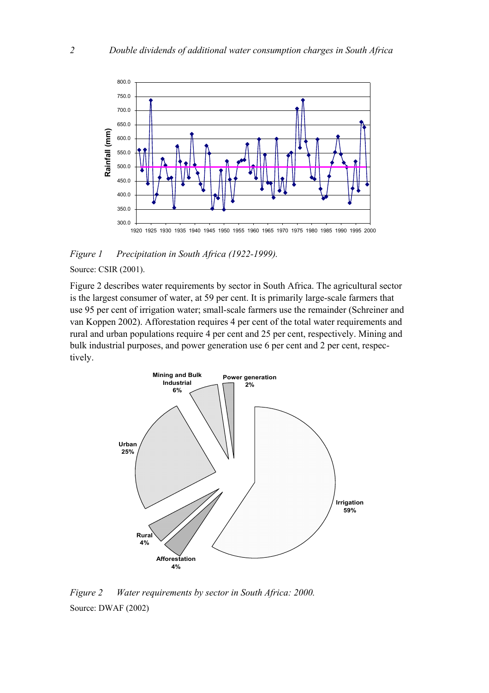

*Figure 1 Precipitation in South Africa (1922-1999).*

Source: CSIR (2001).

Figure 2 describes water requirements by sector in South Africa. The agricultural sector is the largest consumer of water, at 59 per cent. It is primarily large-scale farmers that use 95 per cent of irrigation water; small-scale farmers use the remainder (Schreiner and van Koppen 2002). Afforestation requires 4 per cent of the total water requirements and rural and urban populations require 4 per cent and 25 per cent, respectively. Mining and bulk industrial purposes, and power generation use 6 per cent and 2 per cent, respectively.



*Figure 2 Water requirements by sector in South Africa: 2000.*  Source: DWAF (2002)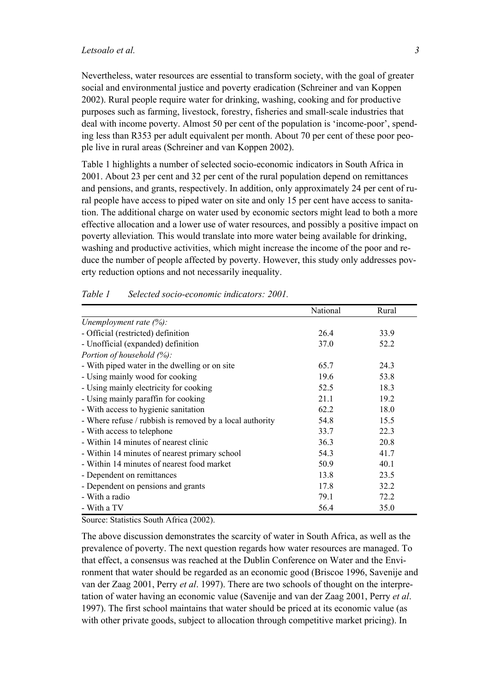Nevertheless, water resources are essential to transform society, with the goal of greater social and environmental justice and poverty eradication (Schreiner and van Koppen 2002). Rural people require water for drinking, washing, cooking and for productive purposes such as farming, livestock, forestry, fisheries and small-scale industries that deal with income poverty. Almost 50 per cent of the population is 'income-poor', spending less than R353 per adult equivalent per month. About 70 per cent of these poor people live in rural areas (Schreiner and van Koppen 2002).

Table 1 highlights a number of selected socio-economic indicators in South Africa in 2001. About 23 per cent and 32 per cent of the rural population depend on remittances and pensions, and grants, respectively. In addition, only approximately 24 per cent of rural people have access to piped water on site and only 15 per cent have access to sanitation. The additional charge on water used by economic sectors might lead to both a more effective allocation and a lower use of water resources, and possibly a positive impact on poverty alleviation*.* This would translate into more water being available for drinking, washing and productive activities, which might increase the income of the poor and reduce the number of people affected by poverty. However, this study only addresses poverty reduction options and not necessarily inequality.

|                                                          | National | Rural |
|----------------------------------------------------------|----------|-------|
| Unemployment rate $(\%)$ :                               |          |       |
| - Official (restricted) definition                       | 26.4     | 33.9  |
| - Unofficial (expanded) definition                       | 37.0     | 52.2  |
| Portion of household $(\%)$ :                            |          |       |
| - With piped water in the dwelling or on site            | 65.7     | 24.3  |
| - Using mainly wood for cooking                          | 19.6     | 53.8  |
| - Using mainly electricity for cooking                   | 52.5     | 18.3  |
| - Using mainly paraffin for cooking                      | 21.1     | 19.2  |
| - With access to hygienic sanitation                     | 62.2     | 18.0  |
| - Where refuse / rubbish is removed by a local authority | 54.8     | 15.5  |
| - With access to telephone                               | 33.7     | 22.3  |
| - Within 14 minutes of nearest clinic                    | 36.3     | 20.8  |
| - Within 14 minutes of nearest primary school            | 54.3     | 41.7  |
| - Within 14 minutes of nearest food market               | 50.9     | 40.1  |
| - Dependent on remittances                               | 13.8     | 23.5  |
| - Dependent on pensions and grants                       | 17.8     | 32.2  |
| - With a radio                                           | 79.1     | 72.2  |
| - With a TV                                              | 56.4     | 35.0  |

#### *Table 1 Selected socio-economic indicators: 2001.*

Source: Statistics South Africa (2002).

The above discussion demonstrates the scarcity of water in South Africa, as well as the prevalence of poverty. The next question regards how water resources are managed. To that effect, a consensus was reached at the Dublin Conference on Water and the Environment that water should be regarded as an economic good (Briscoe 1996, Savenije and van der Zaag 2001, Perry *et al*. 1997). There are two schools of thought on the interpretation of water having an economic value (Savenije and van der Zaag 2001, Perry *et al*. 1997). The first school maintains that water should be priced at its economic value (as with other private goods, subject to allocation through competitive market pricing). In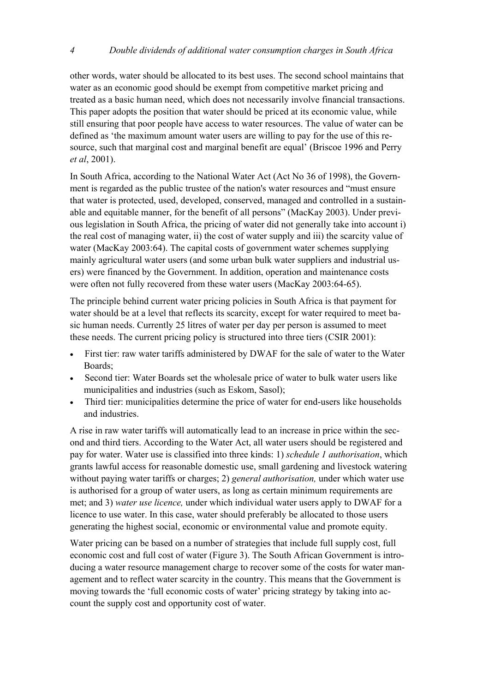other words, water should be allocated to its best uses. The second school maintains that water as an economic good should be exempt from competitive market pricing and treated as a basic human need, which does not necessarily involve financial transactions. This paper adopts the position that water should be priced at its economic value, while still ensuring that poor people have access to water resources. The value of water can be defined as 'the maximum amount water users are willing to pay for the use of this resource, such that marginal cost and marginal benefit are equal' (Briscoe 1996 and Perry *et al*, 2001).

In South Africa, according to the National Water Act (Act No 36 of 1998), the Government is regarded as the public trustee of the nation's water resources and "must ensure that water is protected, used, developed, conserved, managed and controlled in a sustainable and equitable manner, for the benefit of all persons" (MacKay 2003). Under previous legislation in South Africa, the pricing of water did not generally take into account i) the real cost of managing water, ii) the cost of water supply and iii) the scarcity value of water (MacKay 2003:64). The capital costs of government water schemes supplying mainly agricultural water users (and some urban bulk water suppliers and industrial users) were financed by the Government. In addition, operation and maintenance costs were often not fully recovered from these water users (MacKay 2003:64-65).

The principle behind current water pricing policies in South Africa is that payment for water should be at a level that reflects its scarcity, except for water required to meet basic human needs. Currently 25 litres of water per day per person is assumed to meet these needs. The current pricing policy is structured into three tiers (CSIR 2001):

- First tier: raw water tariffs administered by DWAF for the sale of water to the Water Boards;
- Second tier: Water Boards set the wholesale price of water to bulk water users like municipalities and industries (such as Eskom, Sasol);
- Third tier: municipalities determine the price of water for end-users like households and industries.

A rise in raw water tariffs will automatically lead to an increase in price within the second and third tiers. According to the Water Act, all water users should be registered and pay for water. Water use is classified into three kinds: 1) *schedule 1 authorisation*, which grants lawful access for reasonable domestic use, small gardening and livestock watering without paying water tariffs or charges; 2) *general authorisation,* under which water use is authorised for a group of water users, as long as certain minimum requirements are met; and 3) *water use licence,* under which individual water users apply to DWAF for a licence to use water. In this case, water should preferably be allocated to those users generating the highest social, economic or environmental value and promote equity.

Water pricing can be based on a number of strategies that include full supply cost, full economic cost and full cost of water (Figure 3). The South African Government is introducing a water resource management charge to recover some of the costs for water management and to reflect water scarcity in the country. This means that the Government is moving towards the 'full economic costs of water' pricing strategy by taking into account the supply cost and opportunity cost of water.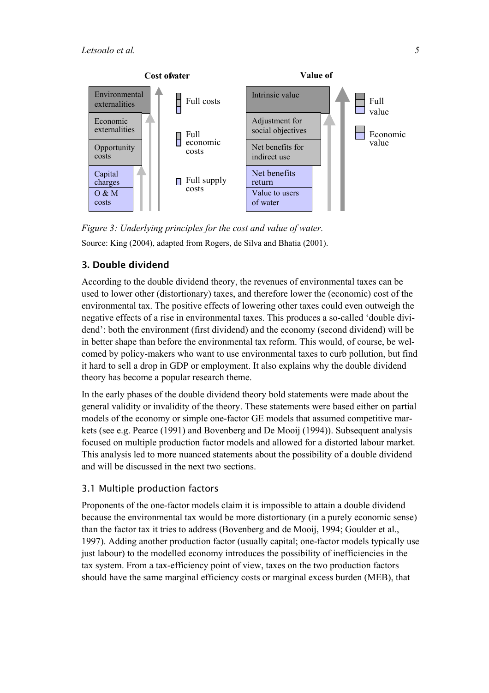<span id="page-6-0"></span>

*Figure 3: Underlying principles for the cost and value of water.*  Source: King (2004), adapted from Rogers, de Silva and Bhatia (2001).

# **3. Double dividend**

According to the double dividend theory, the revenues of environmental taxes can be used to lower other (distortionary) taxes, and therefore lower the (economic) cost of the environmental tax. The positive effects of lowering other taxes could even outweigh the negative effects of a rise in environmental taxes. This produces a so-called 'double dividend': both the environment (first dividend) and the economy (second dividend) will be in better shape than before the environmental tax reform. This would, of course, be welcomed by policy-makers who want to use environmental taxes to curb pollution, but find it hard to sell a drop in GDP or employment. It also explains why the double dividend theory has become a popular research theme.

In the early phases of the double dividend theory bold statements were made about the general validity or invalidity of the theory. These statements were based either on partial models of the economy or simple one-factor GE models that assumed competitive markets (see e.g. Pearce (1991) and Bovenberg and De Mooij (1994)). Subsequent analysis focused on multiple production factor models and allowed for a distorted labour market. This analysis led to more nuanced statements about the possibility of a double dividend and will be discussed in the next two sections.

#### 3.1 Multiple production factors

Proponents of the one-factor models claim it is impossible to attain a double dividend because the environmental tax would be more distortionary (in a purely economic sense) than the factor tax it tries to address (Bovenberg and de Mooij, 1994; Goulder et al., 1997). Adding another production factor (usually capital; one-factor models typically use just labour) to the modelled economy introduces the possibility of inefficiencies in the tax system. From a tax-efficiency point of view, taxes on the two production factors should have the same marginal efficiency costs or marginal excess burden (MEB), that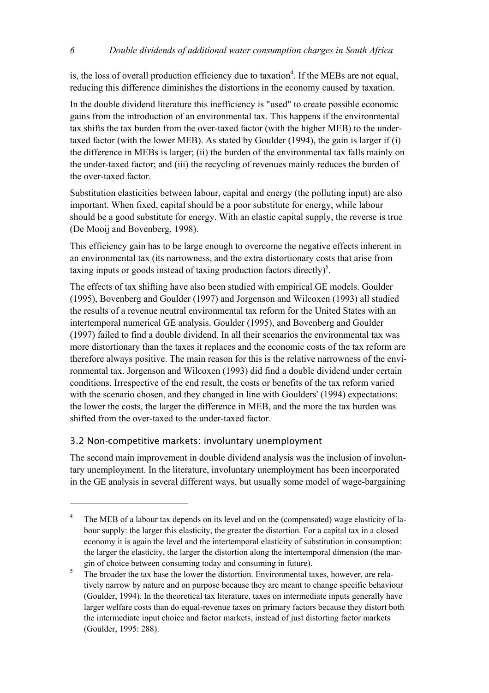<span id="page-7-0"></span>is, the loss of overall production efficiency due to taxation<sup>4</sup>. If the MEBs are not equal, reducing this difference diminishes the distortions in the economy caused by taxation.

In the double dividend literature this inefficiency is "used" to create possible economic gains from the introduction of an environmental tax. This happens if the environmental tax shifts the tax burden from the over-taxed factor (with the higher MEB) to the undertaxed factor (with the lower MEB). As stated by Goulder (1994), the gain is larger if (i) the difference in MEBs is larger; (ii) the burden of the environmental tax falls mainly on the under-taxed factor; and (iii) the recycling of revenues mainly reduces the burden of the over-taxed factor.

Substitution elasticities between labour, capital and energy (the polluting input) are also important. When fixed, capital should be a poor substitute for energy, while labour should be a good substitute for energy. With an elastic capital supply, the reverse is true (De Mooij and Bovenberg, 1998).

This efficiency gain has to be large enough to overcome the negative effects inherent in an environmental tax (its narrowness, and the extra distortionary costs that arise from taxing inputs or goods instead of taxing production factors directly)<sup>5</sup>.

The effects of tax shifting have also been studied with empirical GE models. Goulder (1995), Bovenberg and Goulder (1997) and Jorgenson and Wilcoxen (1993) all studied the results of a revenue neutral environmental tax reform for the United States with an intertemporal numerical GE analysis. Goulder (1995), and Bovenberg and Goulder (1997) failed to find a double dividend. In all their scenarios the environmental tax was more distortionary than the taxes it replaces and the economic costs of the tax reform are therefore always positive. The main reason for this is the relative narrowness of the environmental tax. Jorgenson and Wilcoxen (1993) did find a double dividend under certain conditions. Irrespective of the end result, the costs or benefits of the tax reform varied with the scenario chosen, and they changed in line with Goulders' (1994) expectations: the lower the costs, the larger the difference in MEB, and the more the tax burden was shifted from the over-taxed to the under-taxed factor.

#### 3.2 Non-competitive markets: involuntary unemployment

The second main improvement in double dividend analysis was the inclusion of involuntary unemployment. In the literature, involuntary unemployment has been incorporated in the GE analysis in several different ways, but usually some model of wage-bargaining

<span id="page-7-1"></span><sup>4</sup> The MEB of a labour tax depends on its level and on the (compensated) wage elasticity of labour supply: the larger this elasticity, the greater the distortion. For a capital tax in a closed economy it is again the level and the intertemporal elasticity of substitution in consumption: the larger the elasticity, the larger the distortion along the intertemporal dimension (the margin of choice between consuming today and consuming in future).

<span id="page-7-2"></span><sup>5</sup> The broader the tax base the lower the distortion. Environmental taxes, however, are relatively narrow by nature and on purpose because they are meant to change specific behaviour (Goulder, 1994). In the theoretical tax literature, taxes on intermediate inputs generally have larger welfare costs than do equal-revenue taxes on primary factors because they distort both the intermediate input choice and factor markets, instead of just distorting factor markets (Goulder, 1995: 288).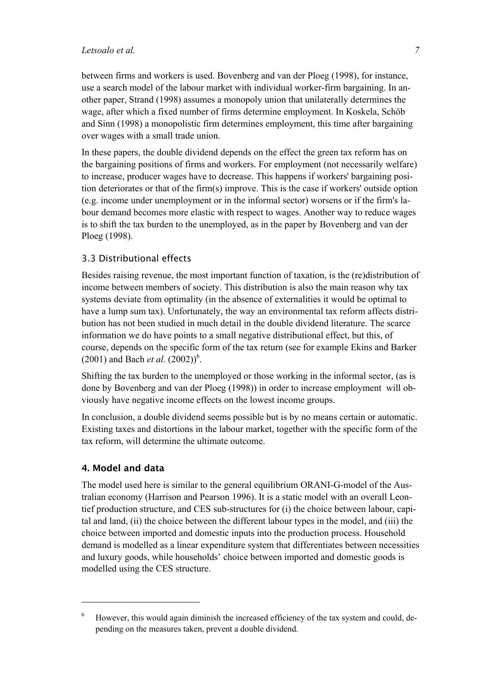<span id="page-8-0"></span>between firms and workers is used. Bovenberg and van der Ploeg (1998), for instance, use a search model of the labour market with individual worker-firm bargaining. In another paper, Strand (1998) assumes a monopoly union that unilaterally determines the wage, after which a fixed number of firms determine employment. In Koskela, Schöb and Sinn (1998) a monopolistic firm determines employment, this time after bargaining over wages with a small trade union.

In these papers, the double dividend depends on the effect the green tax reform has on the bargaining positions of firms and workers. For employment (not necessarily welfare) to increase, producer wages have to decrease. This happens if workers' bargaining position deteriorates or that of the firm(s) improve. This is the case if workers' outside option (e.g. income under unemployment or in the informal sector) worsens or if the firm's labour demand becomes more elastic with respect to wages. Another way to reduce wages is to shift the tax burden to the unemployed, as in the paper by Bovenberg and van der Ploeg (1998).

#### 3.3 Distributional effects

Besides raising revenue, the most important function of taxation, is the (re)distribution of income between members of society. This distribution is also the main reason why tax systems deviate from optimality (in the absence of externalities it would be optimal to have a lump sum tax). Unfortunately, the way an environmental tax reform affects distribution has not been studied in much detail in the double dividend literature. The scarce information we do have points to a small negative distributional effect, but this, of course, depends on the specific form of the tax return (see for example Ekins and Barker  $(2001)$  and Bach *et al.*  $(2002))^6$ .

Shifting the tax burden to the unemployed or those working in the informal sector, (as is done by Bovenberg and van der Ploeg (1998)) in order to increase employment will obviously have negative income effects on the lowest income groups.

In conclusion, a double dividend seems possible but is by no means certain or automatic. Existing taxes and distortions in the labour market, together with the specific form of the tax reform, will determine the ultimate outcome.

# **4. Model and data**

The model used here is similar to the general equilibrium ORANI-G-model of the Australian economy (Harrison and Pearson 1996). It is a static model with an overall Leontief production structure, and CES sub-structures for (i) the choice between labour, capital and land, (ii) the choice between the different labour types in the model, and (iii) the choice between imported and domestic inputs into the production process. Household demand is modelled as a linear expenditure system that differentiates between necessities and luxury goods, while households' choice between imported and domestic goods is modelled using the CES structure.

<span id="page-8-1"></span><sup>6</sup> However, this would again diminish the increased efficiency of the tax system and could, depending on the measures taken, prevent a double dividend.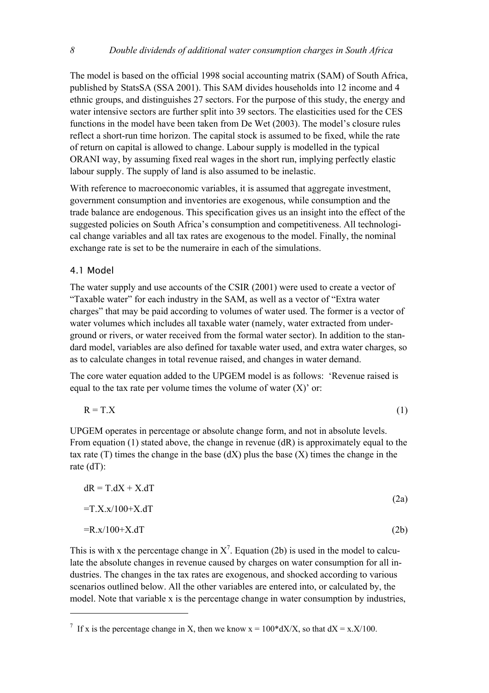<span id="page-9-0"></span>The model is based on the official 1998 social accounting matrix (SAM) of South Africa, published by StatsSA (SSA 2001). This SAM divides households into 12 income and 4 ethnic groups, and distinguishes 27 sectors. For the purpose of this study, the energy and water intensive sectors are further split into 39 sectors. The elasticities used for the CES functions in the model have been taken from De Wet (2003). The model's closure rules reflect a short-run time horizon. The capital stock is assumed to be fixed, while the rate of return on capital is allowed to change. Labour supply is modelled in the typical ORANI way, by assuming fixed real wages in the short run, implying perfectly elastic labour supply. The supply of land is also assumed to be inelastic.

With reference to macroeconomic variables, it is assumed that aggregate investment, government consumption and inventories are exogenous, while consumption and the trade balance are endogenous. This specification gives us an insight into the effect of the suggested policies on South Africa's consumption and competitiveness. All technological change variables and all tax rates are exogenous to the model. Finally, the nominal exchange rate is set to be the numeraire in each of the simulations.

#### 4.1 Model

 $\overline{a}$ 

The water supply and use accounts of the CSIR (2001) were used to create a vector of "Taxable water" for each industry in the SAM, as well as a vector of "Extra water charges" that may be paid according to volumes of water used. The former is a vector of water volumes which includes all taxable water (namely, water extracted from underground or rivers, or water received from the formal water sector). In addition to the standard model, variables are also defined for taxable water used, and extra water charges, so as to calculate changes in total revenue raised, and changes in water demand.

The core water equation added to the UPGEM model is as follows: 'Revenue raised is equal to the tax rate per volume times the volume of water  $(X)$  or:

$$
R = T.X
$$
 (1)

UPGEM operates in percentage or absolute change form, and not in absolute levels. From equation (1) stated above, the change in revenue (dR) is approximately equal to the tax rate  $(T)$  times the change in the base  $(dX)$  plus the base  $(X)$  times the change in the rate (dT):

$$
dR = T.dX + X.dT
$$
\n
$$
= T.X.x/100+X.dT
$$
\n
$$
= R.x/100+X.dT
$$
\n(2b)

This is with x the percentage change in  $X^7$ . Equation (2b) is used in the model to calculate the absolute changes in revenue caused by charges on water consumption for all industries. The changes in the tax rates are exogenous, and shocked according to various scenarios outlined below. All the other variables are entered into, or calculated by, the model. Note that variable x is the percentage change in water consumption by industries,

<span id="page-9-1"></span><sup>&</sup>lt;sup>7</sup> If x is the percentage change in X, then we know  $x = 100*dX/X$ , so that  $dX = x.X/100$ .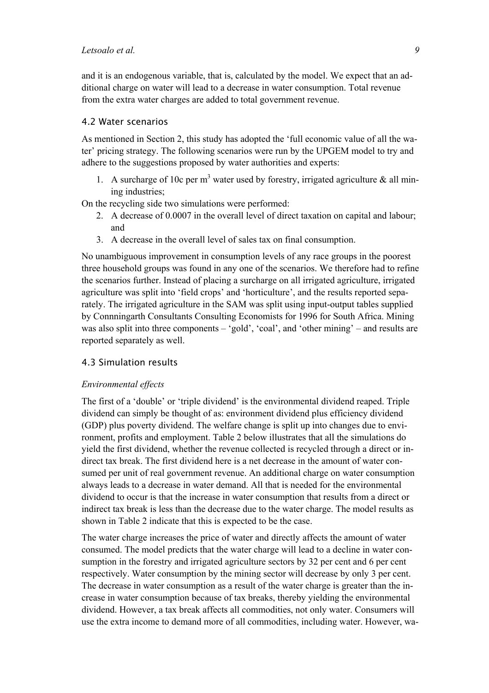<span id="page-10-0"></span>and it is an endogenous variable, that is, calculated by the model. We expect that an additional charge on water will lead to a decrease in water consumption. Total revenue from the extra water charges are added to total government revenue.

# 4.2 Water scenarios

As mentioned in Section 2, this study has adopted the 'full economic value of all the water' pricing strategy. The following scenarios were run by the UPGEM model to try and adhere to the suggestions proposed by water authorities and experts:

1. A surcharge of 10c per  $m<sup>3</sup>$  water used by forestry, irrigated agriculture & all mining industries;

On the recycling side two simulations were performed:

- 2. A decrease of 0.0007 in the overall level of direct taxation on capital and labour; and
- 3. A decrease in the overall level of sales tax on final consumption.

No unambiguous improvement in consumption levels of any race groups in the poorest three household groups was found in any one of the scenarios. We therefore had to refine the scenarios further. Instead of placing a surcharge on all irrigated agriculture, irrigated agriculture was split into 'field crops' and 'horticulture', and the results reported separately. The irrigated agriculture in the SAM was split using input-output tables supplied by Connningarth Consultants Consulting Economists for 1996 for South Africa. Mining was also split into three components – 'gold', 'coal', and 'other mining' – and results are reported separately as well.

#### 4.3 Simulation results

#### *Environmental effects*

The first of a 'double' or 'triple dividend' is the environmental dividend reaped. Triple dividend can simply be thought of as: environment dividend plus efficiency dividend (GDP) plus poverty dividend. The welfare change is split up into changes due to environment, profits and employment. Table 2 below illustrates that all the simulations do yield the first dividend, whether the revenue collected is recycled through a direct or indirect tax break. The first dividend here is a net decrease in the amount of water consumed per unit of real government revenue. An additional charge on water consumption always leads to a decrease in water demand. All that is needed for the environmental dividend to occur is that the increase in water consumption that results from a direct or indirect tax break is less than the decrease due to the water charge. The model results as shown in Table 2 indicate that this is expected to be the case.

The water charge increases the price of water and directly affects the amount of water consumed. The model predicts that the water charge will lead to a decline in water consumption in the forestry and irrigated agriculture sectors by 32 per cent and 6 per cent respectively. Water consumption by the mining sector will decrease by only 3 per cent. The decrease in water consumption as a result of the water charge is greater than the increase in water consumption because of tax breaks, thereby yielding the environmental dividend. However, a tax break affects all commodities, not only water. Consumers will use the extra income to demand more of all commodities, including water. However, wa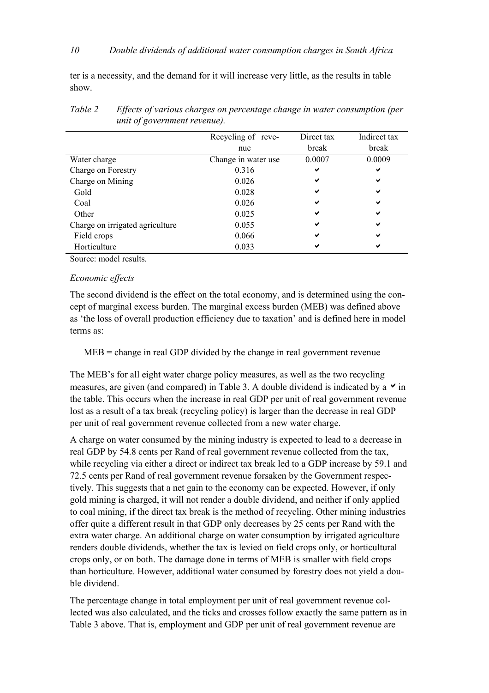ter is a necessity, and the demand for it will increase very little, as the results in table show.

|                                 | Recycling of reve-  | Direct tax | Indirect tax |
|---------------------------------|---------------------|------------|--------------|
|                                 | nue                 | break      | break        |
| Water charge                    | Change in water use | 0.0007     | 0.0009       |
| Charge on Forestry              | 0.316               | ✔          | ✔            |
| Charge on Mining                | 0.026               | ✔          | ✔            |
| Gold                            | 0.028               | ✔          | ✔            |
| Coal                            | 0.026               | ✔          | ✔            |
| Other                           | 0.025               | ✔          | ✔            |
| Charge on irrigated agriculture | 0.055               | ✔          | ✔            |
| Field crops                     | 0.066               | ✔          | ✔            |
| Horticulture                    | 0.033               |            |              |
|                                 |                     |            |              |

*Table 2 Effects of various charges on percentage change in water consumption (per unit of government revenue).* 

Source: model results.

#### *Economic effects*

The second dividend is the effect on the total economy, and is determined using the concept of marginal excess burden. The marginal excess burden (MEB) was defined above as 'the loss of overall production efficiency due to taxation' and is defined here in model terms as:

MEB = change in real GDP divided by the change in real government revenue

The MEB's for all eight water charge policy measures, as well as the two recycling measures, are given (and compared) in Table 3. A double dividend is indicated by a  $\vee$  in the table. This occurs when the increase in real GDP per unit of real government revenue lost as a result of a tax break (recycling policy) is larger than the decrease in real GDP per unit of real government revenue collected from a new water charge.

A charge on water consumed by the mining industry is expected to lead to a decrease in real GDP by 54.8 cents per Rand of real government revenue collected from the tax, while recycling via either a direct or indirect tax break led to a GDP increase by 59.1 and 72.5 cents per Rand of real government revenue forsaken by the Government respectively. This suggests that a net gain to the economy can be expected. However, if only gold mining is charged, it will not render a double dividend, and neither if only applied to coal mining, if the direct tax break is the method of recycling. Other mining industries offer quite a different result in that GDP only decreases by 25 cents per Rand with the extra water charge. An additional charge on water consumption by irrigated agriculture renders double dividends, whether the tax is levied on field crops only, or horticultural crops only, or on both. The damage done in terms of MEB is smaller with field crops than horticulture. However, additional water consumed by forestry does not yield a double dividend.

The percentage change in total employment per unit of real government revenue collected was also calculated, and the ticks and crosses follow exactly the same pattern as in Table 3 above. That is, employment and GDP per unit of real government revenue are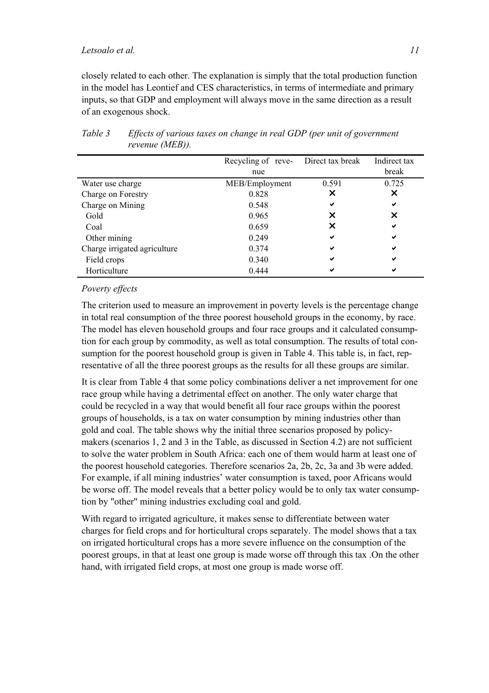closely related to each other. The explanation is simply that the total production function in the model has Leontief and CES characteristics, in terms of intermediate and primary inputs, so that GDP and employment will always move in the same direction as a result of an exogenous shock.

|                              | Recycling of reve- | Direct tax break | Indirect tax |
|------------------------------|--------------------|------------------|--------------|
|                              | nue                |                  | break        |
| Water use charge             | MEB/Employment     | 0.591            | 0.725        |
| Charge on Forestry           | 0.828              | x                | ×            |
| Charge on Mining             | 0.548              | ✔                | ✔            |
| Gold                         | 0.965              | x                | ×            |
| Coal                         | 0.659              | x                | ✔            |
| Other mining                 | 0.249              | ✔                | ✔            |
| Charge irrigated agriculture | 0.374              | ✔                | ✔            |
| Field crops                  | 0.340              | ✔                | ✔            |
| Horticulture                 | 0.444              | ✔                | ✔            |

*Table 3 Effects of various taxes on change in real GDP (per unit of government revenue (MEB)).*

#### *Poverty effects*

The criterion used to measure an improvement in poverty levels is the percentage change in total real consumption of the three poorest household groups in the economy, by race. The model has eleven household groups and four race groups and it calculated consumption for each group by commodity, as well as total consumption. The results of total consumption for the poorest household group is given in Table 4. This table is, in fact, representative of all the three poorest groups as the results for all these groups are similar.

It is clear from Table 4 that some policy combinations deliver a net improvement for one race group while having a detrimental effect on another. The only water charge that could be recycled in a way that would benefit all four race groups within the poorest groups of households, is a tax on water consumption by mining industries other than gold and coal. The table shows why the initial three scenarios proposed by policymakers (scenarios 1, 2 and 3 in the Table, as discussed in Section 4.2) are not sufficient to solve the water problem in South Africa: each one of them would harm at least one of the poorest household categories. Therefore scenarios 2a, 2b, 2c, 3a and 3b were added. For example, if all mining industries' water consumption is taxed, poor Africans would be worse off. The model reveals that a better policy would be to only tax water consumption by "other" mining industries excluding coal and gold.

With regard to irrigated agriculture, it makes sense to differentiate between water charges for field crops and for horticultural crops separately. The model shows that a tax on irrigated horticultural crops has a more severe influence on the consumption of the poorest groups, in that at least one group is made worse off through this tax .On the other hand, with irrigated field crops, at most one group is made worse off.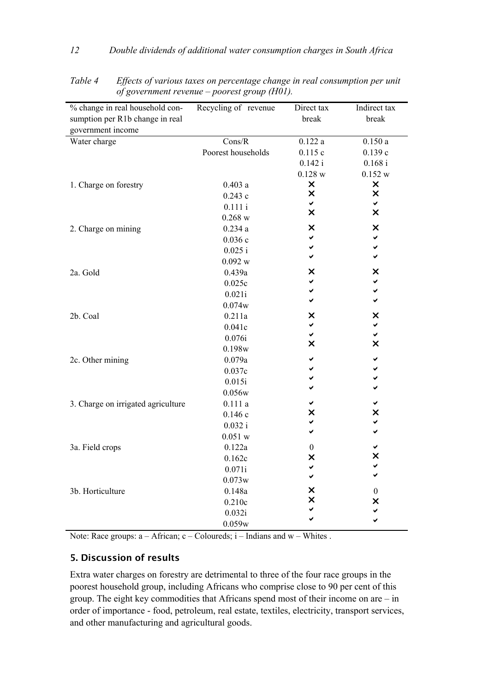| % change in real household con-    | Recycling of revenue | Direct tax                | Indirect tax              |
|------------------------------------|----------------------|---------------------------|---------------------------|
| sumption per R1b change in real    |                      | break                     | break                     |
| government income                  |                      |                           |                           |
| Water charge                       | Cons/R               | 0.122a                    | 0.150a                    |
|                                    | Poorest households   | 0.115c                    | 0.139c                    |
|                                    |                      | 0.142 i                   | 0.168 i                   |
|                                    |                      | 0.128 w                   | 0.152 w                   |
| 1. Charge on forestry              | 0.403a               | $\pmb{\times}$            | $\pmb{\times}$            |
|                                    | 0.243c               | $\boldsymbol{\mathsf{x}}$ | $\boldsymbol{\mathsf{x}}$ |
|                                    | 0.111i               | ✔                         | ✓                         |
|                                    | 0.268 w              | $\boldsymbol{\mathsf{x}}$ | $\boldsymbol{\mathsf{x}}$ |
| 2. Charge on mining                | 0.234a               | ×                         | $\times$                  |
|                                    | 0.036c               | V                         | ✓                         |
|                                    | 0.025 i              | ✓                         | ✓                         |
|                                    | 0.092 w              | ✓                         | ✓                         |
| 2a. Gold                           | 0.439a               | $\pmb{\times}$            | X                         |
|                                    | 0.025c               | ✓                         | ✓                         |
|                                    | 0.021i               | ✔                         | ✓                         |
|                                    | 0.074w               | ✓                         | ✓                         |
| 2b. Coal                           | 0.211a               | ×                         | ×                         |
|                                    | 0.041c               | ✔                         | ✓                         |
|                                    | 0.076i               | ✓                         | ✓                         |
|                                    | 0.198w               | $\boldsymbol{\mathsf{x}}$ | $\overline{\mathsf{x}}$   |
| 2c. Other mining                   | 0.079a               | ✔                         | ✔                         |
|                                    | 0.037c               |                           | ✓                         |
|                                    | 0.015i               |                           | ✓                         |
|                                    | 0.056w               |                           |                           |
| 3. Charge on irrigated agriculture | 0.111a               |                           | ✓                         |
|                                    | 0.146c               | X                         | ×                         |
|                                    | 0.032 i              | ✔                         | ✔                         |
|                                    | 0.051 w              | V                         | U                         |
| 3a. Field crops                    | 0.122a               | $\theta$                  | ✓                         |
|                                    | 0.162c               | ×                         | X                         |
|                                    | 0.071i               | ✔                         | ✓                         |
|                                    | 0.073w               | $\checkmark$              | V                         |
| 3b. Horticulture                   | 0.148a               | ×                         | $\boldsymbol{0}$          |
|                                    | 0.210c               | X                         | ×                         |
|                                    | 0.032i               |                           | $\checkmark$              |
|                                    |                      |                           |                           |
|                                    | 0.059w               |                           |                           |

<span id="page-13-0"></span>*Table 4 Effects of various taxes on percentage change in real consumption per unit of government revenue – poorest group (H01).* 

Note: Race groups: a – African; c – Coloureds; i – Indians and w – Whites .

# **5. Discussion of results**

Extra water charges on forestry are detrimental to three of the four race groups in the poorest household group, including Africans who comprise close to 90 per cent of this group. The eight key commodities that Africans spend most of their income on are – in order of importance - food, petroleum, real estate, textiles, electricity, transport services, and other manufacturing and agricultural goods.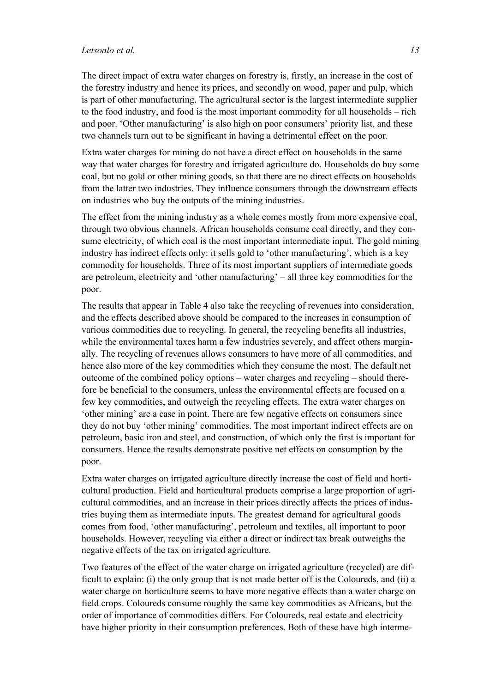The direct impact of extra water charges on forestry is, firstly, an increase in the cost of the forestry industry and hence its prices, and secondly on wood, paper and pulp, which is part of other manufacturing. The agricultural sector is the largest intermediate supplier to the food industry, and food is the most important commodity for all households – rich and poor. 'Other manufacturing' is also high on poor consumers' priority list, and these two channels turn out to be significant in having a detrimental effect on the poor.

Extra water charges for mining do not have a direct effect on households in the same way that water charges for forestry and irrigated agriculture do. Households do buy some coal, but no gold or other mining goods, so that there are no direct effects on households from the latter two industries. They influence consumers through the downstream effects on industries who buy the outputs of the mining industries.

The effect from the mining industry as a whole comes mostly from more expensive coal, through two obvious channels. African households consume coal directly, and they consume electricity, of which coal is the most important intermediate input. The gold mining industry has indirect effects only: it sells gold to 'other manufacturing', which is a key commodity for households. Three of its most important suppliers of intermediate goods are petroleum, electricity and 'other manufacturing' – all three key commodities for the poor.

The results that appear in Table 4 also take the recycling of revenues into consideration, and the effects described above should be compared to the increases in consumption of various commodities due to recycling. In general, the recycling benefits all industries, while the environmental taxes harm a few industries severely, and affect others marginally. The recycling of revenues allows consumers to have more of all commodities, and hence also more of the key commodities which they consume the most. The default net outcome of the combined policy options – water charges and recycling – should therefore be beneficial to the consumers, unless the environmental effects are focused on a few key commodities, and outweigh the recycling effects. The extra water charges on 'other mining' are a case in point. There are few negative effects on consumers since they do not buy 'other mining' commodities. The most important indirect effects are on petroleum, basic iron and steel, and construction, of which only the first is important for consumers. Hence the results demonstrate positive net effects on consumption by the poor.

Extra water charges on irrigated agriculture directly increase the cost of field and horticultural production. Field and horticultural products comprise a large proportion of agricultural commodities, and an increase in their prices directly affects the prices of industries buying them as intermediate inputs. The greatest demand for agricultural goods comes from food, 'other manufacturing', petroleum and textiles, all important to poor households. However, recycling via either a direct or indirect tax break outweighs the negative effects of the tax on irrigated agriculture.

Two features of the effect of the water charge on irrigated agriculture (recycled) are difficult to explain: (i) the only group that is not made better off is the Coloureds, and (ii) a water charge on horticulture seems to have more negative effects than a water charge on field crops. Coloureds consume roughly the same key commodities as Africans, but the order of importance of commodities differs. For Coloureds, real estate and electricity have higher priority in their consumption preferences. Both of these have high interme-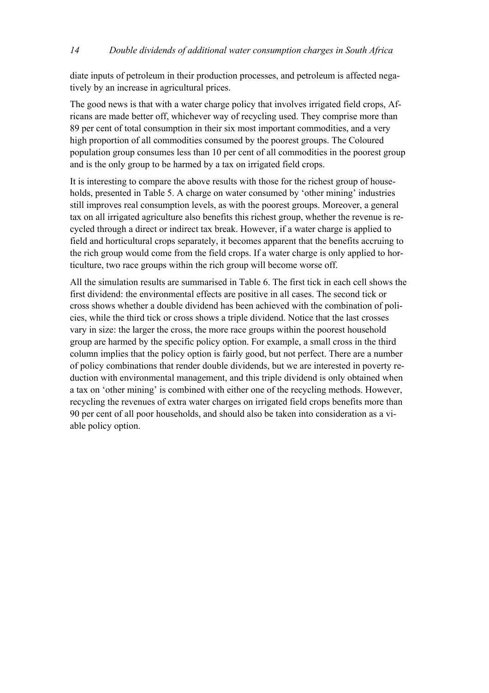diate inputs of petroleum in their production processes, and petroleum is affected negatively by an increase in agricultural prices.

The good news is that with a water charge policy that involves irrigated field crops, Africans are made better off, whichever way of recycling used. They comprise more than 89 per cent of total consumption in their six most important commodities, and a very high proportion of all commodities consumed by the poorest groups. The Coloured population group consumes less than 10 per cent of all commodities in the poorest group and is the only group to be harmed by a tax on irrigated field crops.

It is interesting to compare the above results with those for the richest group of households, presented in Table 5. A charge on water consumed by 'other mining' industries still improves real consumption levels, as with the poorest groups. Moreover, a general tax on all irrigated agriculture also benefits this richest group, whether the revenue is recycled through a direct or indirect tax break. However, if a water charge is applied to field and horticultural crops separately, it becomes apparent that the benefits accruing to the rich group would come from the field crops. If a water charge is only applied to horticulture, two race groups within the rich group will become worse off.

All the simulation results are summarised in Table 6. The first tick in each cell shows the first dividend: the environmental effects are positive in all cases. The second tick or cross shows whether a double dividend has been achieved with the combination of policies, while the third tick or cross shows a triple dividend. Notice that the last crosses vary in size: the larger the cross, the more race groups within the poorest household group are harmed by the specific policy option. For example, a small cross in the third column implies that the policy option is fairly good, but not perfect. There are a number of policy combinations that render double dividends, but we are interested in poverty reduction with environmental management, and this triple dividend is only obtained when a tax on 'other mining' is combined with either one of the recycling methods. However, recycling the revenues of extra water charges on irrigated field crops benefits more than 90 per cent of all poor households, and should also be taken into consideration as a viable policy option.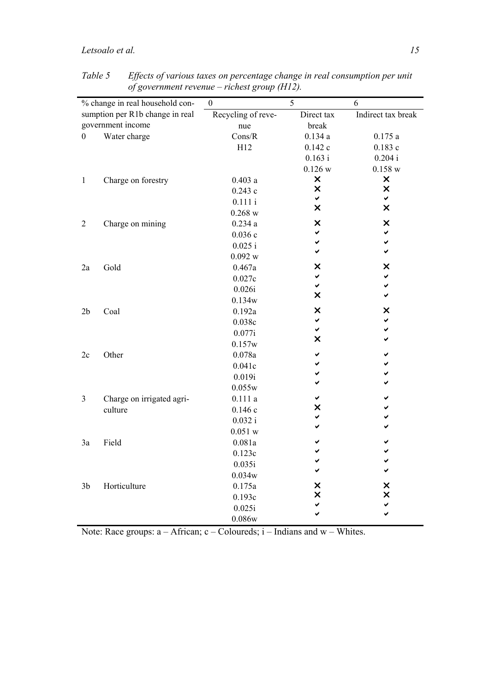|                  | % change in real household con- | $\boldsymbol{0}$   | 5          | 6                  |
|------------------|---------------------------------|--------------------|------------|--------------------|
|                  | sumption per R1b change in real | Recycling of reve- | Direct tax | Indirect tax break |
|                  | government income               | nue                | break      |                    |
| $\boldsymbol{0}$ | Water charge                    | Cons/R             | 0.134a     | 0.175a             |
|                  |                                 | H12                | 0.142c     | 0.183c             |
|                  |                                 |                    | 0.163 i    | 0.204 i            |
|                  |                                 |                    | 0.126 w    | 0.158 w            |
| $\mathbf{1}$     | Charge on forestry              | 0.403a             | ×          | $\pmb{\times}$     |
|                  |                                 | 0.243c             | ×          | $\pmb{\times}$     |
|                  |                                 | 0.111i             | ✔          | ✔                  |
|                  |                                 | 0.268 w            | ×          | ×                  |
| $\overline{2}$   | Charge on mining                | 0.234a             | ×          | ×                  |
|                  |                                 | 0.036c             | ✔          | ✔                  |
|                  |                                 | 0.025 i            | ✔          | ✔                  |
|                  |                                 | 0.092 w            |            |                    |
| 2a               | Gold                            | 0.467a             | ×          | ×                  |
|                  |                                 | 0.027c             | ✔          | ✔                  |
|                  |                                 | 0.026i             | ✓          | ✔                  |
|                  |                                 | 0.134w             | ×          | ✓                  |
| 2 <sub>b</sub>   | Coal                            | 0.192a             | ×          | ×                  |
|                  |                                 | 0.038c             | ✔          | ✓                  |
|                  |                                 | 0.077i             | ✓          | ✔                  |
|                  |                                 | 0.157w             | ×          |                    |
| 2c               | Other                           | 0.078a             | ✔          |                    |
|                  |                                 | 0.041c             |            |                    |
|                  |                                 | 0.019i             | ✓          |                    |
|                  |                                 | 0.055w             | ✔          |                    |
| 3                | Charge on irrigated agri-       | 0.111a             | ✔          |                    |
|                  | culture                         | 0.146c             | X          |                    |
|                  |                                 | 0.032 i            | ✓          |                    |
|                  |                                 | 0.051 w            |            |                    |
| 3a               | Field                           | 0.081a             |            |                    |
|                  |                                 | 0.123c             |            |                    |
|                  |                                 | 0.035i             |            |                    |
|                  |                                 | 0.034w             | ✔          |                    |
| 3 <sub>b</sub>   | Horticulture                    | 0.175a             | ×          | ×                  |
|                  |                                 | 0.193c             | X          | X                  |
|                  |                                 | 0.025i             | ✔          |                    |
|                  |                                 |                    |            |                    |
|                  |                                 | 0.086w             |            |                    |

*Table 5 Effects of various taxes on percentage change in real consumption per unit of government revenue – richest group (H12).* 

Note: Race groups:  $a - African$ ;  $c - Coloureds$ ;  $i - Indians$  and  $w - Whites$ .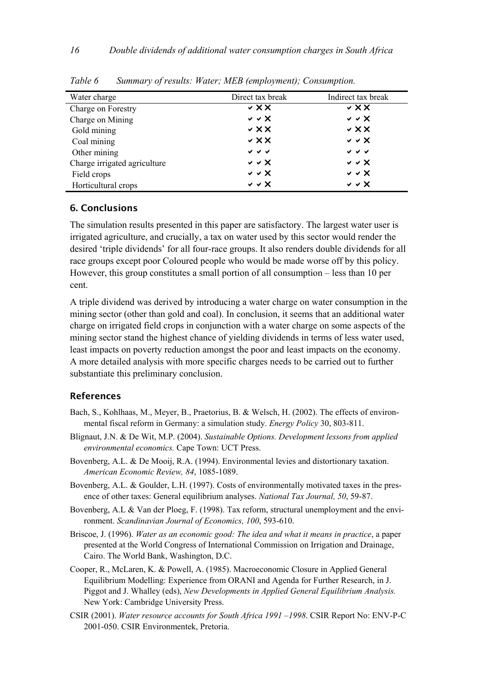| Water charge                 | Direct tax break           | Indirect tax break                     |
|------------------------------|----------------------------|----------------------------------------|
| Charge on Forestry           | $\vee$ XX                  | $\vee$ XX                              |
| Charge on Mining             | $\vee$ $\vee$ $\times$     | $\vee$ $\vee$ $\times$                 |
| Gold mining                  | $\vee$ X X                 | $\vee$ XX                              |
| Coal mining                  | $\times$ $\times$ $\times$ | $\vee$ $\vee$ $\times$                 |
| Other mining                 | $\checkmark$ $\checkmark$  | $\checkmark$ $\checkmark$ $\checkmark$ |
| Charge irrigated agriculture | $\vee$ $\vee$ $\times$     | $\vee$ $\vee$ $\times$                 |
| Field crops                  | $\vee$ $\vee$ $\times$     | $\vee$ $\vee$ $\times$                 |
| Horticultural crops          | $\vee$ $\vee$ $\times$     | $\vee$ $\vee$ $\times$                 |

<span id="page-17-0"></span>*Table 6 Summary of results: Water; MEB (employment); Consumption.* 

#### **6. Conclusions**

The simulation results presented in this paper are satisfactory. The largest water user is irrigated agriculture, and crucially, a tax on water used by this sector would render the desired 'triple dividends' for all four-race groups. It also renders double dividends for all race groups except poor Coloured people who would be made worse off by this policy. However, this group constitutes a small portion of all consumption – less than 10 per cent.

A triple dividend was derived by introducing a water charge on water consumption in the mining sector (other than gold and coal). In conclusion, it seems that an additional water charge on irrigated field crops in conjunction with a water charge on some aspects of the mining sector stand the highest chance of yielding dividends in terms of less water used, least impacts on poverty reduction amongst the poor and least impacts on the economy. A more detailed analysis with more specific charges needs to be carried out to further substantiate this preliminary conclusion.

### **References**

- Bach, S., Kohlhaas, M., Meyer, B., Praetorius, B. & Welsch, H. (2002). The effects of environmental fiscal reform in Germany: a simulation study. *Energy Policy* 30, 803-811.
- Blignaut, J.N. & De Wit, M.P. (2004). *Sustainable Options. Development lessons from applied environmental economics.* Cape Town: UCT Press.
- Bovenberg, A.L. & De Mooij, R.A. (1994). Environmental levies and distortionary taxation. *American Economic Review, 84*, 1085-1089.
- Bovenberg, A.L. & Goulder, L.H. (1997). Costs of environmentally motivated taxes in the presence of other taxes: General equilibrium analyses. *National Tax Journal, 50*, 59-87.
- Bovenberg, A.L & Van der Ploeg, F. (1998). Tax reform, structural unemployment and the environment. *Scandinavian Journal of Economics, 100*, 593-610.
- Briscoe, J. (1996). *Water as an economic good: The idea and what it means in practice*, a paper presented at the World Congress of International Commission on Irrigation and Drainage, Cairo. The World Bank, Washington, D.C.
- Cooper, R., McLaren, K. & Powell, A. (1985). Macroeconomic Closure in Applied General Equilibrium Modelling: Experience from ORANI and Agenda for Further Research, in J. Piggot and J. Whalley (eds), *New Developments in Applied General Equilibrium Analysis.*  New York: Cambridge University Press.
- CSIR (2001). *Water resource accounts for South Africa 1991 –1998*. CSIR Report No: ENV-P-C 2001-050. CSIR Environmentek, Pretoria.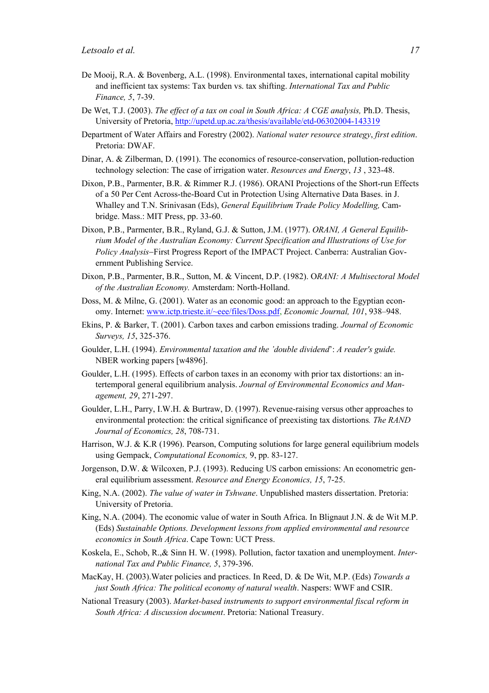- De Mooij, R.A. & Bovenberg, A.L. (1998). Environmental taxes, international capital mobility and inefficient tax systems: Tax burden vs. tax shifting. *International Tax and Public Finance, 5*, 7-39.
- De Wet, T.J. (2003). *The effect of a tax on coal in South Africa: A CGE analysis,* Ph.D. Thesis, University of Pretoria,<http://upetd.up.ac.za/thesis/available/etd-06302004-143319>
- Department of Water Affairs and Forestry (2002). *National water resource strategy*, *first edition*. Pretoria: DWAF.
- Dinar, A. & Zilberman, D. (1991). The economics of resource-conservation, pollution-reduction technology selection: The case of irrigation water. *Resources and Energy*, *13* , 323-48.
- Dixon, P.B., Parmenter, B.R. & Rimmer R.J. (1986). ORANI Projections of the Short-run Effects of a 50 Per Cent Across-the-Board Cut in Protection Using Alternative Data Bases. in J. Whalley and T.N. Srinivasan (Eds), *General Equilibrium Trade Policy Modelling,* Cambridge. Mass.: MIT Press, pp. 33-60.
- Dixon, P.B., Parmenter, B.R., Ryland, G.J. & Sutton, J.M. (1977). *ORANI, A General Equilibrium Model of the Australian Economy: Current Specification and Illustrations of Use for Policy Analysis*−First Progress Report of the IMPACT Project. Canberra: Australian Government Publishing Service.
- Dixon, P.B., Parmenter, B.R., Sutton, M. & Vincent, D.P. (1982). O*RANI: A Multisectoral Model of the Australian Economy.* Amsterdam: North-Holland.
- Doss, M. & Milne, G. (2001). Water as an economic good: an approach to the Egyptian economy. Internet: [www.ictp.trieste.it/~eee/files/Doss.pdf](http://www.ictp.trieste.it/~eee/files/Doss.pdf), *Economic Journal, 101*, 938–948.
- Ekins, P. & Barker, T. (2001). Carbon taxes and carbon emissions trading. *Journal of Economic Surveys, 15*, 325-376.
- Goulder, L.H. (1994). *Environmental taxation and the 'double dividend*': *A reader's guide.* NBER working papers [w4896].
- Goulder, L.H. (1995). Effects of carbon taxes in an economy with prior tax distortions: an intertemporal general equilibrium analysis. *Journal of Environmental Economics and Management, 29*, 271-297.
- Goulder, L.H., Parry, I.W.H. & Burtraw, D. (1997). Revenue-raising versus other approaches to environmental protection: the critical significance of preexisting tax distortions*. The RAND Journal of Economics, 28*, 708-731.
- Harrison, W.J. & K.R (1996). Pearson, Computing solutions for large general equilibrium models using Gempack, *Computational Economics,* 9, pp. 83-127.
- Jorgenson, D.W. & Wilcoxen, P.J. (1993). Reducing US carbon emissions: An econometric general equilibrium assessment. *Resource and Energy Economics, 15*, 7-25.
- King, N.A. (2002). *The value of water in Tshwane*. Unpublished masters dissertation. Pretoria: University of Pretoria.
- King, N.A. (2004). The economic value of water in South Africa. In Blignaut J.N. & de Wit M.P. (Eds) *Sustainable Options. Development lessons from applied environmental and resource economics in South Africa*. Cape Town: UCT Press.
- Koskela, E., Schob, R.,& Sinn H. W. (1998). Pollution, factor taxation and unemployment. *International Tax and Public Finance, 5*, 379-396.
- MacKay, H. (2003).Water policies and practices. In Reed, D. & De Wit, M.P. (Eds) *Towards a just South Africa: The political economy of natural wealth*. Naspers: WWF and CSIR.
- National Treasury (2003). *Market-based instruments to support environmental fiscal reform in South Africa: A discussion document*. Pretoria: National Treasury.